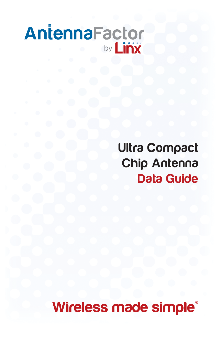# AntennaFactor by **Linx**

Ultra Compact Chip Antenna Data Guide

Wireless made simple®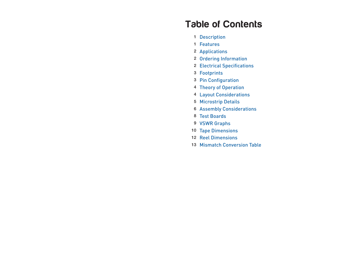# Table of Contents

- Description
- Features
- Applications
- Ordering Information
- Electrical Specifications
- Footprints
- Pin Configuration
- Theory of Operation
- Layout Considerations
- Microstrip Details
- Assembly Considerations
- Test Boards
- VSWR Graphs
- Tape Dimensions
- Reel Dimensions
- Mismatch Conversion Table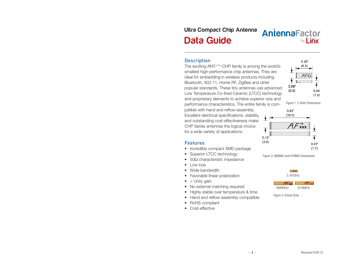# Ultra Compact Chip Antenna Data Guide

# AntennaFactor by **Linx**

 $\overline{\mathbf{v}}$ 

#### **Description**

The exciting ANT-\*\*\*-CHP family is among the world's smallest high-performance chip antennas. They are ideal for embedding in wireless products including Bluetooth, 802.11, Home RF, ZigBee and other popular standards. These tiny antennas use advanced Low Temperature Co-fired Ceramic (LTCC) technology and proprietary elements to achieve superior size and performance characteristics. The entire family is com-

patible with hand and reflow-assembly. Excellent electrical specifications, stability, and outstanding cost-effectiveness make CHP Series antennas the logical choice  $\mathcal{A}$  **AXxx** for a wide variety of applications.

**Features** 

- Incredibly compact SMD package
- Superior LTCC technology
- $50\Omega$  characteristic impedance
- Low loss
- Wide bandwidth
- Favorable linear polarization
- $\bullet$  > Unity gain
- No external matching required
- Highly stable over temperature & time
- Hand and reflow-assembly compatible
- RoHS compliant
- Cost-effective



 $0.26"$  $(6.5)$ 





Figure 2: 868MHz and 916MHz Dimensions





Figure 3: Actual Sizes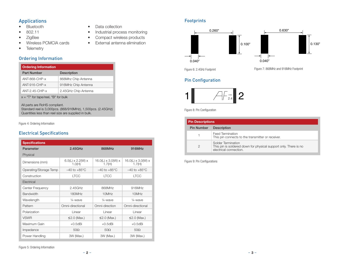### Applications

- Bluetooth
- • 802.11
- • ZigBee
- • Wireless PCMCIA cards
- Telemetry

### Ordering Information

| <b>Ordering Information</b> |                      |  |
|-----------------------------|----------------------|--|
| <b>Part Number</b>          | <b>Description</b>   |  |
| ANT-868-CHP-x               | 868Mhz Chip Antenna  |  |
| $ANT-916-CHP-x$             | 916MHz Chip Antenna  |  |
| ANT-2.45-CHP-x              | 2.45GHz Chip Antenna |  |
|                             |                      |  |

x = "T" for tape/reel, "B" for bulk

All parts are RoHS compliant. Standard reel is 3,000pcs. (868/916MHz), 1,500pcs. (2.45GHz) Quantities less than reel size are supplied in bulk.

Figure 4: Ordering Information

### Electrical Specifications

| <b>Specifications</b>  |                                         |                                          |                                            |
|------------------------|-----------------------------------------|------------------------------------------|--------------------------------------------|
| Parameter              | 2.45GHz                                 | 868MHz                                   | 916MHz                                     |
| Physical               |                                         |                                          |                                            |
| Dimensions (mm)        | $6.5(L) \times 2.2(W) \times$<br>1.0(H) | $16.0(L) \times 3.0(W) \times$<br>1.7(H) | 16.0(L) $\times$ 3.0(W) $\times$<br>1.7(H) |
| Operating/Storage Temp | $-40$ to $+85^{\circ}$ C                | $-40$ to $+85^{\circ}$ C                 | $-40$ to $+85^{\circ}$ C                   |
| Construction           | <b>LTCC</b>                             | <b>LTCC</b>                              | <b>LTCC</b>                                |
| Electrical             |                                         |                                          |                                            |
| Center Frequency       | $2.45$ GHz                              | 868MHz                                   | 916MHz                                     |
| <b>Bandwidth</b>       | 180MHz                                  | 10MHz                                    | 10MHz                                      |
| Wavelength             | $\frac{1}{4}$ -wave                     | $\frac{1}{4}$ -wave                      | $\frac{1}{4}$ -wave                        |
| Pattern                | Omni-directional                        | Omni-direction                           | Omni-directional                           |
| Polarization           | Linear                                  | Linear                                   | Linear                                     |
| <b>VSWR</b>            | $\leq$ 2.0 (Max.)                       | $\leq$ 2.0 (Max.)                        | $\leq$ 2.0 (Max.)                          |
| Maximum Gain           | $+0.5$ dBi                              | $+0.5$ dBi                               | $+0.5$ dBi                                 |
| Impedance              | $50\Omega$<br>$50\Omega$                |                                          | $50\Omega$                                 |
| Power Handling         | 3W (Max.)                               | 3W (Max.)                                | 3W (Max.)                                  |

#### • Data collection

- Industrial process monitoring
- • Compact wireless products
- • External antenna elimination

### Footprints



Figure 6: 2.4GHz Footprint Figure 7: 868MHz and 916MHz Footprint

### Pin Configuration



Figure 8: Pin Configuration

| <b>Pin Descriptions</b> |                                                                                                                  |  |  |
|-------------------------|------------------------------------------------------------------------------------------------------------------|--|--|
| <b>Pin Number</b>       | <b>Description</b>                                                                                               |  |  |
|                         | <b>Feed Termination</b><br>This pin connects to the transmitter or receiver.                                     |  |  |
|                         | Solder Termination<br>This pin is soldered down for physical support only. There is no<br>electrical connection. |  |  |

Figure 9: Pin Configurations

Figure 5: Ordering Information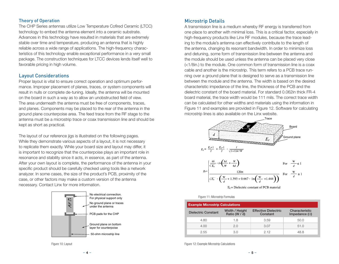#### Theory of Operation

The CHP Series antennas utilize Low Temperature Cofired Ceramic (LTCC) technology to embed the antenna element into a ceramic substrate. Advances in this technology have resulted in materials that are extremely stable over time and temperature, producing an antenna that is highly reliable across a wide range of applications. The high-frequency characteristics of this technology enable exceptional performance in a very small package. The construction techniques for LTCC devices lends itself well to favorable pricing in high volume.

#### Layout Considerations

Proper layout is vital to ensure correct operation and optimum performance. Improper placement of planes, traces, or system components will result in nulls or complete de-tuning. Ideally, the antenna will be mounted on the board in such a way as to allow an unobstructed field of view. The area underneath the antenna must be free of components, traces, and planes. Components may be placed to the rear of the antenna in the ground plane counterpoise area. The feed trace from the RF stage to the antenna must be a microstrip trace or coax transmission line and should be kept as short as practical.

The layout of our reference jigs is illustrated on the following pages. While they demonstrate various aspects of a layout, it is not necessary to replicate them exactly. While your board size and layout may differ, it is important to recognize that the counterpoise plays an important role in resonance and stability since it acts, in essence, as part of the antenna. After your own layout is complete, the performance of the antenna in your specific product should be carefully checked using tools like a network analyzer. In some cases, the size of the product's PCB, proximity of the case, or other factors may make a custom version of the antenna necessary. Contact Linx for more information.



Figure 10: Layout

#### Microstrip Details

A transmission line is a medium whereby RF energy is transferred from one place to another with minimal loss. This is a critical factor, especially in high-frequency products like Linx RF modules, because the trace leading to the module's antenna can effectively contribute to the length of the antenna, changing its resonant bandwidth. In order to minimize loss and detuning, some form of transmission line between the antenna and the module should be used unless the antenna can be placed very close (<1/8in.) to the module. One common form of transmission line is a coax cable and another is the microstrip. This term refers to a PCB trace running over a ground plane that is designed to serve as a transmission line between the module and the antenna. The width is based on the desired characteristic impedance of the line, the thickness of the PCB and the dielectric constant of the board material. For standard 0.062in thick FR-4 board material, the trace width would be 111 mils. The correct trace width can be calculated for other widths and materials using the information in Figure 11 and examples are provided in Figure 12. Software for calculating microstrip lines is also available on the Linx website.



 $E_r$  = Dielectric constant of PCB material



| <b>Example Microstrip Calculations</b> |                                 |                                         |                                        |
|----------------------------------------|---------------------------------|-----------------------------------------|----------------------------------------|
| <b>Dielectric Constant</b>             | Width / Height<br>Ratio (W / d) | <b>Effective Dielectric</b><br>Constant | Characteristic<br>Impedance $(\Omega)$ |
| 4.80                                   | 1.8                             | 3.59                                    | 50.0                                   |
| 4.00                                   | 2.0                             | 3.07                                    | 51.0                                   |
| 2.55                                   | 3 O                             | 2 12                                    | 48.8                                   |

Figure 12: Example Microstrip Calculations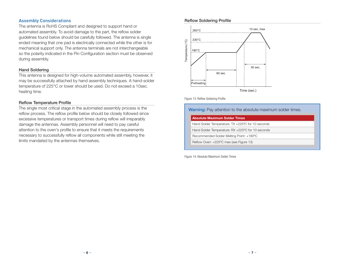#### Assembly Considerations

The antenna is RoHS Compliant and designed to support hand or automated assembly. To avoid damage to the part, the reflow solder guidelines found below should be carefully followed. The antenna is single ended meaning that one pad is electrically connected while the other is for mechanical support only. The antenna terminals are not interchangeable so the polarity indicated in the Pin Configuration section must be observed during assembly.

#### Hand Soldering

This antenna is designed for high-volume automated assembly, however, it may be successfully attached by hand assembly techniques. A hand-solder temperature of 225°C or lower should be used. Do not exceed a 10sec. heating time.

#### Reflow Temperature Profile

The single most critical stage in the automated assembly process is the reflow process. The reflow profile below should be closely followed since excessive temperatures or transport times during reflow will irreparably damage the antennas. Assembly personnel will need to pay careful attention to the oven's profile to ensure that it meets the requirements necessary to successfully reflow all components while still meeting the limits mandated by the antennas themselves.

#### Reflow Soldering Profile



Figure 13: Reflow Soldering Profile

#### Warning: Pay attention to the absolute maximum solder times.

| <b>Absolute Maximum Solder Times</b>              |
|---------------------------------------------------|
| Hand Solder Temperature: TX +225°C for 10 seconds |
| Hand Solder Temperature: RX +225°C for 10 seconds |
| Recommended Solder Melting Point: +180°C          |
| Reflow Oven: +225°C max (see Figure 13)           |
|                                                   |

Figure 14: Absolute Maximum Solder Times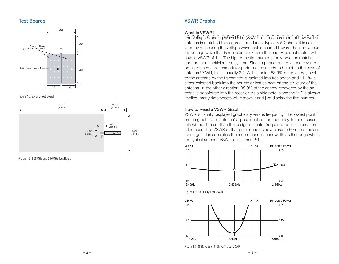#### Test Boards







Figure 16: 868MHz and 916MHz Test Board

## VSWR Graphs

#### What is VSWR?

The Voltage Standing Wave Ratio (VSWR) is a measurement of how well an antenna is matched to a source impedance, typically 50-ohms. It is calculated by measuring the voltage wave that is headed toward the load versus the voltage wave that is reflected back from the load. A perfect match will have a VSWR of 1:1. The higher the first number, the worse the match, and the more inefficient the system. Since a perfect match cannot ever be obtained, some benchmark for performance needs to be set. In the case of antenna VSWR, this is usually 2:1. At this point, 88.9% of the energy sent to the antenna by the transmitter is radiated into free space and 11.1% is either reflected back into the source or lost as heat on the structure of the antenna. In the other direction, 88.9% of the energy recovered by the antenna is transferred into the receiver. As a side note, since the ":1" is always implied, many data sheets will remove it and just display the first number.

#### How to Read a VSWR Graph

VSWR is usually displayed graphically versus frequency. The lowest point on the graph is the antenna's operational center frequency. In most cases, this will be different than the designed center frequency due to fabrication tolerances. The VSWR at that point denotes how close to 50-ohms the antenna gets. Linx specifies the recommended bandwidth as the range where the typical antenna VSWR is less than 2:1.







Figure 18: 868MHz and 916MHz Typical VSWR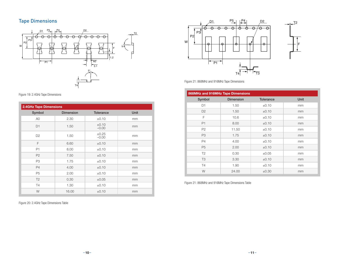# Tape Dimensions



#### Figure 19: 2.4GHz Tape Dimensions

| <b>2.4GHz Tape Dimensions</b> |                  |                       |             |
|-------------------------------|------------------|-----------------------|-------------|
| Symbol                        | <b>Dimension</b> | <b>Tolerance</b>      | <b>Unit</b> |
| A <sub>0</sub>                | 2.30             | ±0.10                 | mm          |
| D <sub>1</sub>                | 1.50             | $\pm 0.10$<br>$-0.00$ | mm          |
| D <sub>2</sub>                | 1.50             | $\pm 0.25$<br>$-0.00$ | mm          |
| F                             | 6.60             | ±0.10                 | mm          |
| P1                            | 8.00             | $\pm 0.10$            | mm          |
| P <sub>2</sub>                | 7.50             | ±0.10                 | mm          |
| P <sub>3</sub>                | 1.75             | ±0.10                 | mm          |
| <b>P4</b>                     | 4.00             | ±0.10                 | mm          |
| P <sub>5</sub>                | 2.00             | $\pm 0.10$            | mm          |
| T <sub>2</sub>                | 0.30             | $\pm 0.05$            | mm          |
| T4                            | 1.30             | ±0.10                 | mm          |
| W                             | 16.00            | $\pm 0.10$            | mm          |

Figure 20: 2.4GHz Tape Dimensions Table



Figure 21: 868MHz and 916MHz Tape Dimensions

| 868MHz and 916MHz Tape Dimensions |                  |                  |             |  |
|-----------------------------------|------------------|------------------|-------------|--|
| Symbol                            | <b>Dimension</b> | <b>Tolerance</b> | <b>Unit</b> |  |
| D <sub>1</sub>                    | 1.50             | ±0.10            | mm          |  |
| D <sub>2</sub>                    | 1.50             | ±0.10            | mm          |  |
| F                                 | 10.6             | $\pm 0.10$       | mm          |  |
| P1                                | 8.00             | ±0.10            | mm          |  |
| P <sub>2</sub>                    | 11.50            | $\pm 0.10$       | mm          |  |
| P <sub>3</sub>                    | 1.75             | $\pm 0.10$       | mm          |  |
| <b>P4</b>                         | 4.00             | ±0.10            | mm          |  |
| P <sub>5</sub>                    | 2.00             | $\pm 0.10$       | mm          |  |
| T <sub>2</sub>                    | 0.30             | $\pm 0.05$       | mm          |  |
| T <sub>3</sub>                    | 3.30             | ±0.10            | mm          |  |
| <b>T4</b>                         | 1.90             | ±0.10            | mm          |  |
| W                                 | 24.00            | $\pm 0.30$       | mm          |  |

Figure 21: 868MHz and 916MHz Tape Dimensions Table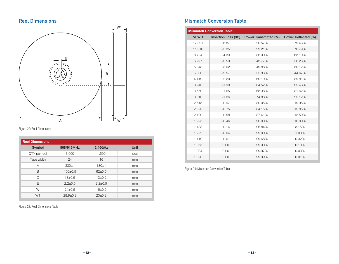# Reel Dimensions



Figure 22: Reel Dimensions

| <b>Reel Dimensions</b> |               |               |      |  |
|------------------------|---------------|---------------|------|--|
| Symbol                 | 868/916MHz    | 2.45GHz       | Unit |  |
| QTY per reel           | 3,000         | 1,500         | pcs  |  |
| Tape width             | 24            | 16            | mm   |  |
| A                      | $330+1$       | $180 + 1$     | mm   |  |
| B                      | $100+0.5$     | $62 \pm 0.5$  | mm   |  |
| C                      | $13 \pm 0.5$  | $13 \pm 0.2$  | mm   |  |
| E                      | $2.2 \pm 0.5$ | $2.2 \pm 0.5$ | mm   |  |
| W                      | $24+0.5$      | $16 + 0.5$    | mm   |  |
| W <sub>1</sub>         | $28.9+0.2$    | $20\pm0.2$    | mm   |  |

Figure 23: Reel Dimensions Table

# Mismatch Conversion Table

|             | <b>Mismatch Conversion Table</b> |                       |                     |
|-------------|----------------------------------|-----------------------|---------------------|
| <b>VSWR</b> | Insertion Loss (dB)              | Power Transmitted (%) | Power Reflected (%) |
| 17.391      | $-6.87$                          | 20.57%                | 79.43%              |
| 11.610      | $-5.35$                          | 29.21%                | 70.79%              |
| 8.724       | $-4.33$                          | 36.90%                | 63.10%              |
| 6.997       | $-3.59$                          | 43.77%                | 56.23%              |
| 5.848       | $-3.02$                          | 49.88%                | 50.12%              |
| 5.030       | $-2.57$                          | 55.33%                | 44.67%              |
| 4.419       | $-2.20$                          | 60.19%                | 39.81%              |
| 3.946       | $-1.90$                          | 64.52%                | 35.48%              |
| 3.570       | $-1.65$                          | 68.38%                | 31.62%              |
| 3.010       | $-1.26$                          | 74.88%                | 25.12%              |
| 2.615       | $-0.97$                          | 80.05%                | 19.95%              |
| 2.323       | $-0.75$                          | 84.15%                | 15.85%              |
| 2.100       | $-0.58$                          | 87.41%                | 12.59%              |
| 1.925       | $-0.46$                          | 90.00%                | 10.00%              |
| 1.433       | $-0.14$                          | 96.84%                | 3.15%               |
| 1.222       | $-0.04$                          | 99.00%                | 1.00%               |
| 1.119       | $-0.01$                          | 99.68%                | 0.32%               |
| 1.065       | 0.00                             | 99.90%                | 0.10%               |
| 1.034       | 0.00                             | 99.97%                | 0.03%               |
| 1.020       | 0.00                             | 99.99%                | 0.01%               |

Figure 24: Mismatch Conversion Table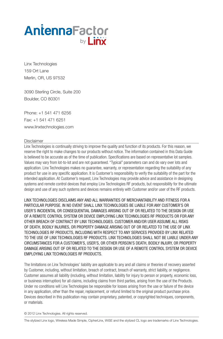# AntennaFactor by *liny*

Linx Technologies 159 Ort Lane Merlin, OR, US 97532

3090 Sterling Circle, Suite 200 Boulder, CO 80301

Phone: +1 541 471 6256 Fax: +1 541 471 6251 www.linxtechnologies.com

#### Disclaimer

Linx Technologies is continually striving to improve the quality and function of its products. For this reason, we reserve the right to make changes to our products without notice. The information contained in this Data Guide is believed to be accurate as of the time of publication. Specifications are based on representative lot samples. Values may vary from lot-to-lot and are not guaranteed. "Typical" parameters can and do vary over lots and application. Linx Technologies makes no guarantee, warranty, or representation regarding the suitability of any product for use in any specific application. It is Customer's responsibility to verify the suitability of the part for the intended application. At Customer's request, Linx Technologies may provide advice and assistance in designing systems and remote control devices that employ Linx Technologies RF products, but responsibility for the ultimate design and use of any such systems and devices remains entirely with Customer and/or user of the RF products.

LINX TECHNOLOGIES DISCLAIMS ANY AND ALL WARRANTIES OF MERCHANTABILITY AND FITNESS FOR A PARTICULAR PURPOSE. IN NO EVENT SHALL LINX TECHNOLOGIES BE LIABLE FOR ANY CUSTOMER'S OR USER'S INCIDENTAL OR CONSEQUENTIAL DAMAGES ARISING OUT OF OR RELATED TO THE DESIGN OR USE OF A REMOTE CONTROL SYSTEM OR DEVICE EMPLOYING LINX TECHNOLOGIES RF PRODUCTS OR FOR ANY OTHER BREACH OF CONTRACT BY LINX TECHNOLOGIES. CUSTOMER AND/OR USER ASSUME ALL RISKS OF DEATH, BODILY INJURIES, OR PROPERTY DAMAGE ARISING OUT OF OR RELATED TO THE USE OF LINX TECHNOLOGIES RF PRODUCTS, INCLUDING WITH RESPECT TO ANY SERVICES PROVIDED BY LINX RELATED TO THE USE OF LINX TECHNOLOGIES RF PRODUCTS. LINX TECHNOLOGIES SHALL NOT BE LIABLE UNDER ANY CIRCUMSTANCES FOR A CUSTOMER'S, USER'S, OR OTHER PERSON'S DEATH, BODILY INJURY, OR PROPERTY DAMAGE ARISING OUT OF OR RELATED TO THE DESIGN OR USE OF A REMOTE CONTROL SYSTEM OR DEVICE EMPLOYING LINX TECHNOLOGIES RF PRODUCTS.

The limitations on Linx Technologies' liability are applicable to any and all claims or theories of recovery asserted by Customer, including, without limitation, breach of contract, breach of warranty, strict liability, or negligence. Customer assumes all liability (including, without limitation, liability for injury to person or property, economic loss, or business interruption) for all claims, including claims from third parties, arising from the use of the Products. Under no conditions will Linx Technologies be responsible for losses arising from the use or failure of the device in any application, other than the repair, replacement, or refund limited to the original product purchase price. Devices described in this publication may contain proprietary, patented, or copyrighted techniques, components, or materials.

© 2012 Linx Technologies. All rights reserved.

The stylized Linx logo, Wireless Made Simple, CipherLinx, WiSE and the stylized CL logo are trademarks of Linx Technologies.